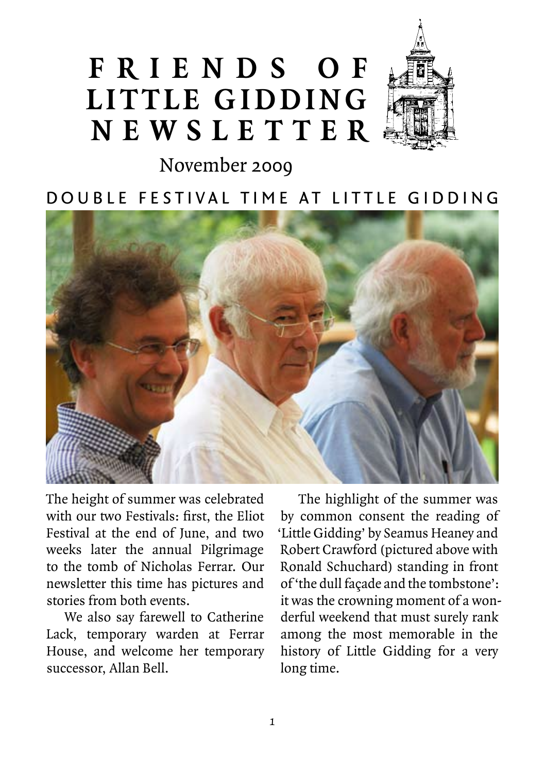# **F r i e n d s o f Little Gidding N ews l etter**



November 2009

DOUBLE FESTIVAL TIME AT LITTLE GIDDING



The height of summer was celebrated with our two Festivals: first, the Eliot Festival at the end of June, and two weeks later the annual Pilgrimage to the tomb of Nicholas Ferrar. Our newsletter this time has pictures and stories from both events.

We also say farewell to Catherine Lack, temporary warden at Ferrar House, and welcome her temporary successor, Allan Bell.

The highlight of the summer was by common consent the reading of 'Little Gidding' by Seamus Heaney and Robert Crawford (pictured above with Ronald Schuchard) standing in front of 'the dull façade and the tombstone': it was the crowning moment of a wonderful weekend that must surely rank among the most memorable in the history of Little Gidding for a very long time.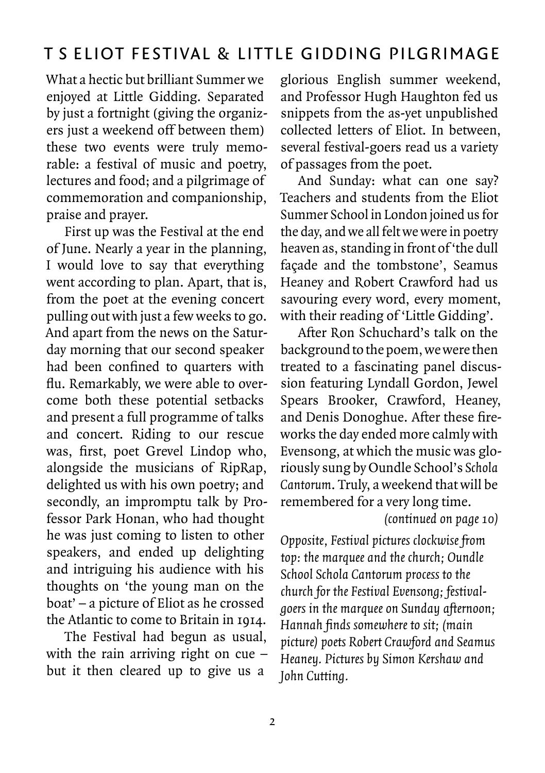## T S Eliot Festival & Little gidding pilgrimage

What a hectic but brilliant Summer we enjoyed at Little Gidding. Separated by just a fortnight (giving the organizers just a weekend off between them) these two events were truly memorable: a festival of music and poetry, lectures and food; and a pilgrimage of commemoration and companionship, praise and prayer.

First up was the Festival at the end of June. Nearly a year in the planning, I would love to say that everything went according to plan. Apart, that is, from the poet at the evening concert pulling out with just a few weeks to go. And apart from the news on the Saturday morning that our second speaker had been confined to quarters with flu. Remarkably, we were able to overcome both these potential setbacks and present a full programme of talks and concert. Riding to our rescue was, first, poet Grevel Lindop who, alongside the musicians of RipRap, delighted us with his own poetry; and secondly, an impromptu talk by Professor Park Honan, who had thought he was just coming to listen to other speakers, and ended up delighting and intriguing his audience with his thoughts on 'the young man on the boat' – a picture of Eliot as he crossed the Atlantic to come to Britain in 1914.

The Festival had begun as usual, with the rain arriving right on cue – but it then cleared up to give us a

glorious English summer weekend, and Professor Hugh Haughton fed us snippets from the as-yet unpublished collected letters of Eliot. In between, several festival-goers read us a variety of passages from the poet.

And Sunday: what can one say? Teachers and students from the Eliot Summer School in London joined us for the day, and we all felt we were in poetry heaven as, standing in front of 'the dull façade and the tombstone', Seamus Heaney and Robert Crawford had us savouring every word, every moment, with their reading of 'Little Gidding'.

After Ron Schuchard's talk on the background to the poem, we were then treated to a fascinating panel discussion featuring Lyndall Gordon, Jewel Spears Brooker, Crawford, Heaney, and Denis Donoghue. After these fireworks the day ended more calmly with Evensong, at which the music was gloriously sung by Oundle School's *Schola Cantorum*. Truly, a weekend that will be remembered for a very long time.

*(continued on page 10)*

*Opposite, Festival pictures clockwise from top: the marquee and the church; Oundle School Schola Cantorum process to the church for the Festival Evensong; festivalgoers in the marquee on Sunday afternoon; Hannah finds somewhere to sit; (main picture) poets Robert Crawford and Seamus Heaney. Pictures by Simon Kershaw and John Cutting.*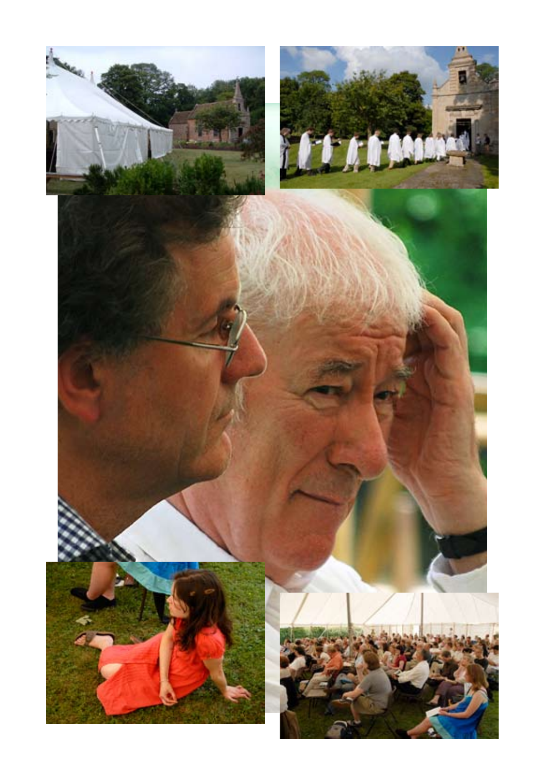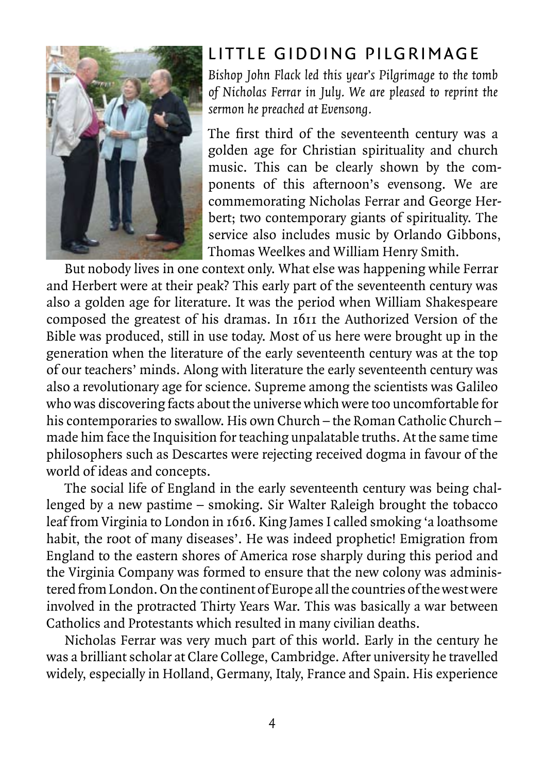

## LITTLE GIDDING PILGRIMAGE

*Bishop John Flack led this year's Pilgrimage to the tomb of Nicholas Ferrar in July. We are pleased to reprint the sermon he preached at Evensong.*

The first third of the seventeenth century was a golden age for Christian spirituality and church music. This can be clearly shown by the components of this afternoon's evensong. We are commemorating Nicholas Ferrar and George Herbert; two contemporary giants of spirituality. The service also includes music by Orlando Gibbons, Thomas Weelkes and William Henry Smith.

But nobody lives in one context only. What else was happening while Ferrar and Herbert were at their peak? This early part of the seventeenth century was also a golden age for literature. It was the period when William Shakespeare composed the greatest of his dramas. In 1611 the Authorized Version of the Bible was produced, still in use today. Most of us here were brought up in the generation when the literature of the early seventeenth century was at the top of our teachers' minds. Along with literature the early seventeenth century was also a revolutionary age for science. Supreme among the scientists was Galileo who was discovering facts about the universe which were too uncomfortable for his contemporaries to swallow. His own Church – the Roman Catholic Church – made him face the Inquisition for teaching unpalatable truths. At the same time philosophers such as Descartes were rejecting received dogma in favour of the world of ideas and concepts.

The social life of England in the early seventeenth century was being challenged by a new pastime – smoking. Sir Walter Raleigh brought the tobacco leaf from Virginia to London in 1616. King James I called smoking 'a loathsome habit, the root of many diseases'. He was indeed prophetic! Emigration from England to the eastern shores of America rose sharply during this period and the Virginia Company was formed to ensure that the new colony was administered from London. On the continent of Europe all the countries of the west were involved in the protracted Thirty Years War. This was basically a war between Catholics and Protestants which resulted in many civilian deaths.

Nicholas Ferrar was very much part of this world. Early in the century he was a brilliant scholar at Clare College, Cambridge. After university he travelled widely, especially in Holland, Germany, Italy, France and Spain. His experience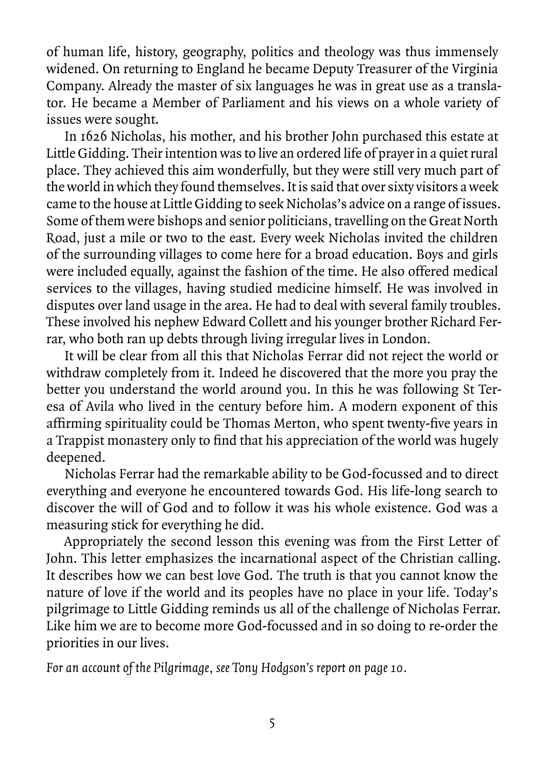of human life, history, geography, politics and theology was thus immensely widened. On returning to England he became Deputy Treasurer of the Virginia Company. Already the master of six languages he was in great use as a translator. He became a Member of Parliament and his views on a whole variety of issues were sought.

In 1626 Nicholas, his mother, and his brother John purchased this estate at Little Gidding. Their intention was to live an ordered life of prayer in a quiet rural place. They achieved this aim wonderfully, but they were still very much part of the world in which they found themselves. It is said that over sixty visitors a week came to the house at Little Gidding to seek Nicholas's advice on a range of issues. Some of them were bishops and senior politicians, travelling on the Great North Road, just a mile or two to the east. Every week Nicholas invited the children of the surrounding villages to come here for a broad education. Boys and girls were included equally, against the fashion of the time. He also offered medical services to the villages, having studied medicine himself. He was involved in disputes over land usage in the area. He had to deal with several family troubles. These involved his nephew Edward Collett and his younger brother Richard Ferrar, who both ran up debts through living irregular lives in London.

It will be clear from all this that Nicholas Ferrar did not reject the world or withdraw completely from it. Indeed he discovered that the more you pray the better you understand the world around you. In this he was following St Teresa of Avila who lived in the century before him. A modern exponent of this affirming spirituality could be Thomas Merton, who spent twenty-five years in a Trappist monastery only to find that his appreciation of the world was hugely deepened.

Nicholas Ferrar had the remarkable ability to be God-focussed and to direct everything and everyone he encountered towards God. His life-long search to discover the will of God and to follow it was his whole existence. God was a measuring stick for everything he did.

Appropriately the second lesson this evening was from the First Letter of John. This letter emphasizes the incarnational aspect of the Christian calling. It describes how we can best love God. The truth is that you cannot know the nature of love if the world and its peoples have no place in your life. Today's pilgrimage to Little Gidding reminds us all of the challenge of Nicholas Ferrar. Like him we are to become more God-focussed and in so doing to re-order the priorities in our lives.

*For an account of the Pilgrimage, see Tony Hodgson's report on page 10.*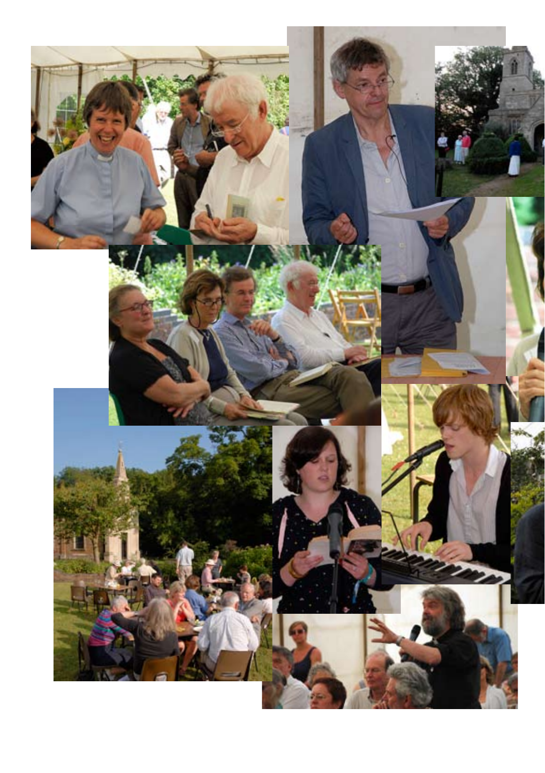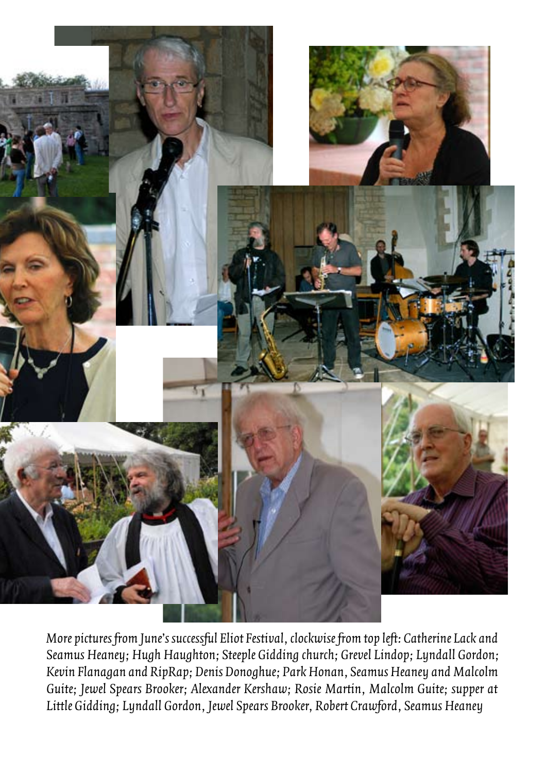

*More pictures from June's successful Eliot Festival, clockwise from top left: Catherine Lack and Seamus Heaney; Hugh Haughton; Steeple Gidding church; Grevel Lindop; Lyndall Gordon; Kevin Flanagan and RipRap; Denis Donoghue; Park Honan, Seamus Heaney and Malcolm Guite; Jewel Spears Brooker; Alexander Kershaw; Rosie Martin, Malcolm Guite; supper at Little Gidding; Lyndall Gordon, Jewel Spears Brooker, Robert Crawford, Seamus Heaney*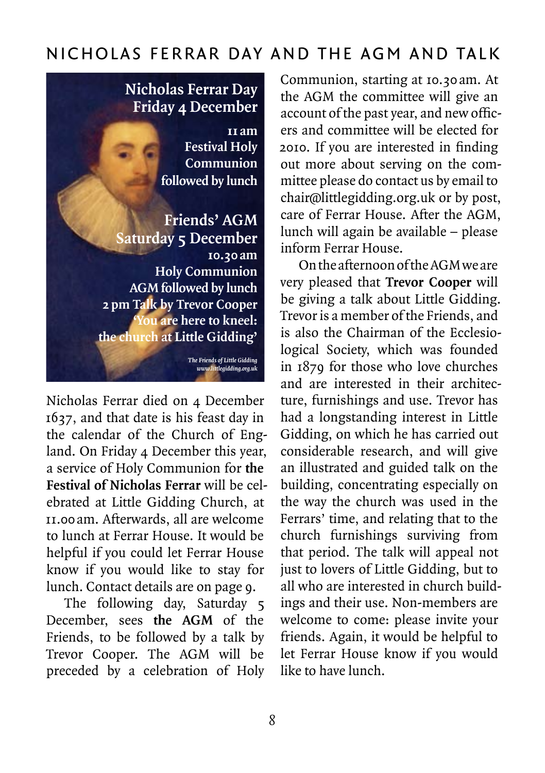## Nicholas Ferrar Day and the AGM and Talk



Nicholas Ferrar died on 4 December 1637, and that date is his feast day in the calendar of the Church of England. On Friday 4 December this year, a service of Holy Communion for **the Festival of Nicholas Ferrar** will be celebrated at Little Gidding Church, at 11.00am. Afterwards, all are welcome to lunch at Ferrar House. It would be helpful if you could let Ferrar House know if you would like to stay for lunch. Contact details are on page 9.

The following day, Saturday 5 December, sees **the AGM** of the Friends, to be followed by a talk by Trevor Cooper. The AGM will be preceded by a celebration of Holy

Communion, starting at 10.30am. At the AGM the committee will give an account of the past year, and new officers and committee will be elected for 2010. If you are interested in finding out more about serving on the committee please do contact us by email to chair@littlegidding.org.uk or by post, care of Ferrar House. After the AGM, lunch will again be available – please inform Ferrar House.

On the afternoon of the AGM we are very pleased that **Trevor Cooper** will be giving a talk about Little Gidding. Trevor is a member of the Friends, and is also the Chairman of the Ecclesiological Society, which was founded in 1879 for those who love churches and are interested in their architecture, furnishings and use. Trevor has had a longstanding interest in Little Gidding, on which he has carried out considerable research, and will give an illustrated and guided talk on the building, concentrating especially on the way the church was used in the Ferrars' time, and relating that to the church furnishings surviving from that period. The talk will appeal not just to lovers of Little Gidding, but to all who are interested in church buildings and their use. Non-members are welcome to come: please invite your friends. Again, it would be helpful to let Ferrar House know if you would like to have lunch.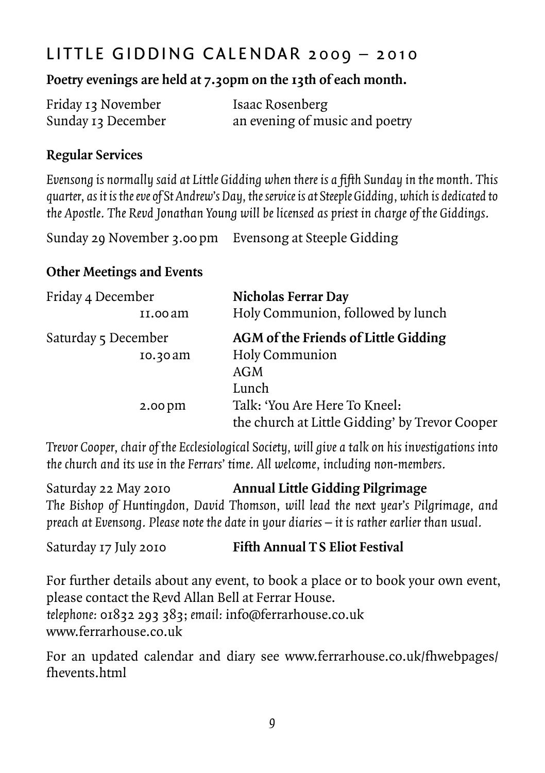## LITTLE GIDDING CALENDAR 2000 - 2010

### **Poetry evenings are held at 7.30pm on the 13th of each month.**

| Friday 13 November | Isaac Rosenberg                |
|--------------------|--------------------------------|
| Sunday 13 December | an evening of music and poetry |

#### **Regular Services**

*Evensong is normally said at Little Gidding when there is a fifth Sunday in the month. This quarter, as it is the eve of St Andrew's Day, the service is at Steeple Gidding, which is dedicated to the Apostle. The Revd Jonathan Young will be licensed as priest in charge of the Giddings.*

Sunday 29 November 3.00pm Evensong at Steeple Gidding

#### **Other Meetings and Events**

| Friday 4 December   | <b>Nicholas Ferrar Day</b>                     |
|---------------------|------------------------------------------------|
| II.00 am            | Holy Communion, followed by lunch              |
| Saturday 5 December | AGM of the Friends of Little Gidding           |
| 10.30 am            | Holy Communion                                 |
|                     | AGM                                            |
|                     | Lunch                                          |
| 2.00 <sub>pn</sub>  | Talk: 'You Are Here To Kneel:                  |
|                     | the church at Little Gidding' by Trevor Cooper |

*Trevor Cooper, chair of the Ecclesiological Society, will give a talk on his investigations into the church and its use in the Ferrars' time. All welcome, including non-members.*

Saturday 22 May 2010 **Annual Little Gidding Pilgrimage** *The Bishop of Huntingdon, David Thomson, will lead the next year's Pilgrimage, and preach at Evensong. Please note the date in your diaries – it is rather earlier than usual.*

Saturday 17 July 2010 **Fifth Annual T S Eliot Festival**

For further details about any event, to book a place or to book your own event, please contact the Revd Allan Bell at Ferrar House. *telephone:* 01832 293 383; *email:* info@ferrarhouse.co.uk www.ferrarhouse.co.uk

For an updated calendar and diary see www.ferrarhouse.co.uk/fhwebpages/ fhevents.html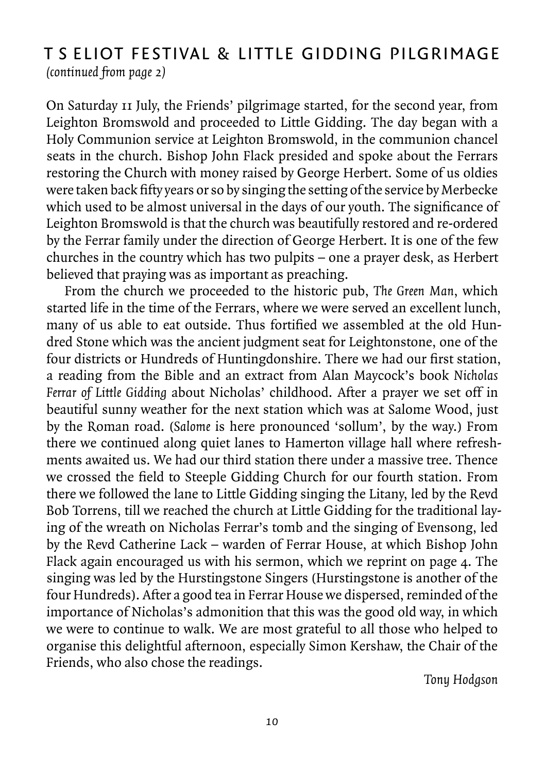## T S Eliot Festival & Little gidding pilgrimage *(continued from page 2)*

On Saturday 11 July, the Friends' pilgrimage started, for the second year, from Leighton Bromswold and proceeded to Little Gidding. The day began with a Holy Communion service at Leighton Bromswold, in the communion chancel seats in the church. Bishop John Flack presided and spoke about the Ferrars restoring the Church with money raised by George Herbert. Some of us oldies were taken back fifty years or so by singing the setting of the service by Merbecke which used to be almost universal in the days of our youth. The significance of Leighton Bromswold is that the church was beautifully restored and re-ordered by the Ferrar family under the direction of George Herbert. It is one of the few churches in the country which has two pulpits – one a prayer desk, as Herbert believed that praying was as important as preaching.

From the church we proceeded to the historic pub, *The Green Man*, which started life in the time of the Ferrars, where we were served an excellent lunch, many of us able to eat outside. Thus fortified we assembled at the old Hundred Stone which was the ancient judgment seat for Leightonstone, one of the four districts or Hundreds of Huntingdonshire. There we had our first station, a reading from the Bible and an extract from Alan Maycock's book *Nicholas Ferrar of Little Gidding* about Nicholas' childhood. After a prayer we set off in beautiful sunny weather for the next station which was at Salome Wood, just by the Roman road. (*Salome* is here pronounced 'sollum', by the way.) From there we continued along quiet lanes to Hamerton village hall where refreshments awaited us. We had our third station there under a massive tree. Thence we crossed the field to Steeple Gidding Church for our fourth station. From there we followed the lane to Little Gidding singing the Litany, led by the Revd Bob Torrens, till we reached the church at Little Gidding for the traditional laying of the wreath on Nicholas Ferrar's tomb and the singing of Evensong, led by the Revd Catherine Lack – warden of Ferrar House, at which Bishop John Flack again encouraged us with his sermon, which we reprint on page  $\Delta$ . The singing was led by the Hurstingstone Singers (Hurstingstone is another of the four Hundreds). After a good tea in Ferrar House we dispersed, reminded of the importance of Nicholas's admonition that this was the good old way, in which we were to continue to walk. We are most grateful to all those who helped to organise this delightful afternoon, especially Simon Kershaw, the Chair of the Friends, who also chose the readings.

*Tony Hodgson*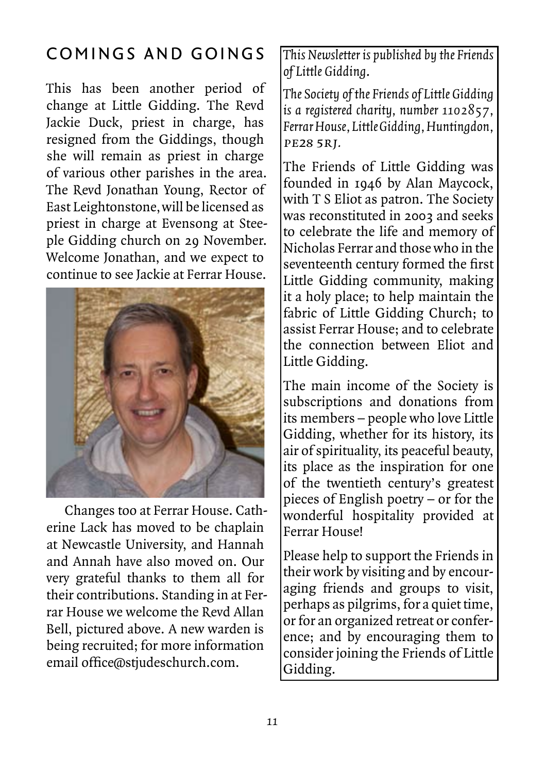# Comings and Goings

This has been another period of change at Little Gidding. The Revd Jackie Duck, priest in charge, has resigned from the Giddings, though she will remain as priest in charge of various other parishes in the area. The Revd Jonathan Young, Rector of East Leightonstone, will be licensed as priest in charge at Evensong at Steeple Gidding church on 29 November. Welcome Jonathan, and we expect to continue to see Jackie at Ferrar House.



Changes too at Ferrar House. Catherine Lack has moved to be chaplain at Newcastle University, and Hannah and Annah have also moved on. Our very grateful thanks to them all for their contributions. Standing in at Ferrar House we welcome the Revd Allan Bell, pictured above. A new warden is being recruited; for more information email office@stjudeschurch.com.

*This Newsletter is published by the Friends of Little Gidding*.

*The Society of the Friends of Little Gidding is a registered charity, number 1102857, Ferrar House, Little Gidding, Huntingdon,*  pe28 5rj*.*

The Friends of Little Gidding was founded in 1946 by Alan Maycock, with T S Eliot as patron. The Society was reconstituted in 2003 and seeks to celebrate the life and memory of Nicholas Ferrar and those who in the seventeenth century formed the first Little Gidding community, making it a holy place; to help maintain the fabric of Little Gidding Church; to assist Ferrar House; and to celebrate the connection between Eliot and Little Gidding.

The main income of the Society is subscriptions and donations from its members – people who love Little Gidding, whether for its history, its air of spirituality, its peaceful beauty, its place as the inspiration for one of the twentieth century's greatest pieces of English poetry – or for the wonderful hospitality provided at Ferrar House!

Please help to support the Friends in their work by visiting and by encouraging friends and groups to visit, perhaps as pilgrims, for a quiet time, or for an organized retreat or conference; and by encouraging them to consider joining the Friends of Little Gidding.